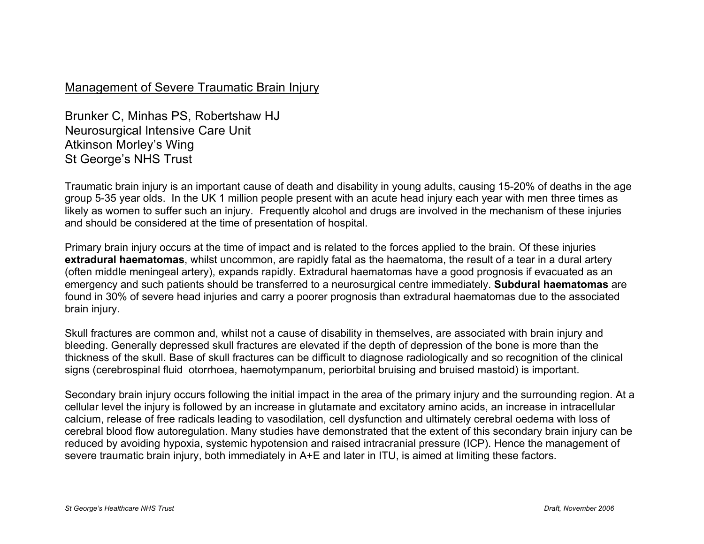## Management of Severe Traumatic Brain Injury

Brunker C, Minhas PS, Robertshaw HJ Neurosurgical Intensive Care Unit Atkinson Morley's Wing St George's NHS Trust

Traumatic brain injury is an important cause of death and disability in young adults, causing 15-20% of deaths in the age group 5-35 year olds. In the UK 1 million people present with an acute head injury each year with men three times as likely as women to suffer such an injury. Frequently alcohol and drugs are involved in the mechanism of these injuries and should be considered at the time of presentation of hospital.

Primary brain injury occurs at the time of impact and is related to the forces applied to the brain. Of these injuries **extradural haematomas**, whilst uncommon, are rapidly fatal as the haematoma, the result of a tear in a dural artery (often middle meningeal artery), expands rapidly. Extradural haematomas have a good prognosis if evacuated as an emergency and such patients should be transferred to a neurosurgical centre immediately. **Subdural haematomas** are found in 30% of severe head injuries and carry a poorer prognosis than extradural haematomas due to the associated brain injury.

Skull fractures are common and, whilst not a cause of disability in themselves, are associated with brain injury and bleeding. Generally depressed skull fractures are elevated if the depth of depression of the bone is more than the thickness of the skull. Base of skull fractures can be difficult to diagnose radiologically and so recognition of the clinical signs (cerebrospinal fluid otorrhoea, haemotympanum, periorbital bruising and bruised mastoid) is important.

Secondary brain injury occurs following the initial impact in the area of the primary injury and the surrounding region. At a cellular level the injury is followed by an increase in glutamate and excitatory amino acids, an increase in intracellular calcium, release of free radicals leading to vasodilation, cell dysfunction and ultimately cerebral oedema with loss of cerebral blood flow autoregulation. Many studies have demonstrated that the extent of this secondary brain injury can be reduced by avoiding hypoxia, systemic hypotension and raised intracranial pressure (ICP). Hence the management of severe traumatic brain injury, both immediately in A+E and later in ITU, is aimed at limiting these factors.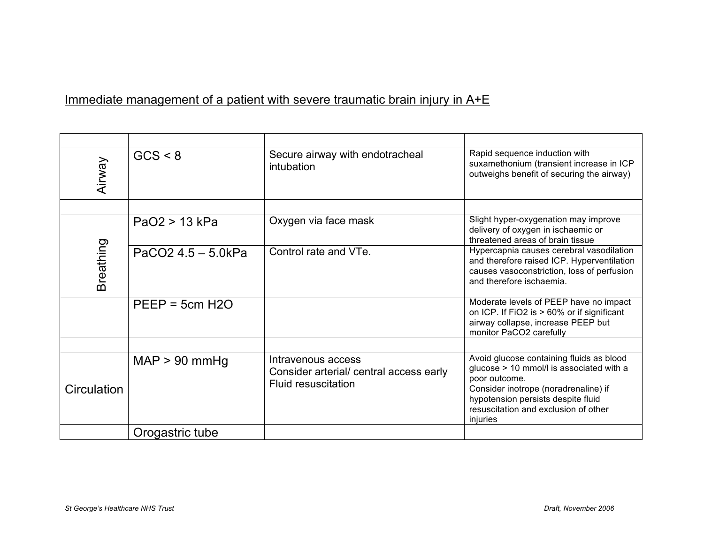## Immediate management of a patient with severe traumatic brain injury in A+E

| <b>Airway</b> | GCS < 8            | Secure airway with endotracheal<br>intubation                                               | Rapid sequence induction with<br>suxamethonium (transient increase in ICP<br>outweighs benefit of securing the airway)                                                                                                                  |
|---------------|--------------------|---------------------------------------------------------------------------------------------|-----------------------------------------------------------------------------------------------------------------------------------------------------------------------------------------------------------------------------------------|
|               |                    |                                                                                             |                                                                                                                                                                                                                                         |
| Breathing     | $PaO2 > 13$ kPa    | Oxygen via face mask                                                                        | Slight hyper-oxygenation may improve<br>delivery of oxygen in ischaemic or<br>threatened areas of brain tissue                                                                                                                          |
|               | PaCO2 4.5 - 5.0kPa | Control rate and VTe.                                                                       | Hypercapnia causes cerebral vasodilation<br>and therefore raised ICP. Hyperventilation<br>causes vasoconstriction, loss of perfusion<br>and therefore ischaemia.                                                                        |
|               | $PEEP = 5cm H2O$   |                                                                                             | Moderate levels of PEEP have no impact<br>on ICP. If FiO2 is > 60% or if significant<br>airway collapse, increase PEEP but<br>monitor PaCO2 carefully                                                                                   |
|               |                    |                                                                                             |                                                                                                                                                                                                                                         |
| Circulation   | $MAP > 90$ mmHg    | Intravenous access<br>Consider arterial/ central access early<br><b>Fluid resuscitation</b> | Avoid glucose containing fluids as blood<br>glucose > 10 mmol/l is associated with a<br>poor outcome.<br>Consider inotrope (noradrenaline) if<br>hypotension persists despite fluid<br>resuscitation and exclusion of other<br>injuries |
|               | Orogastric tube    |                                                                                             |                                                                                                                                                                                                                                         |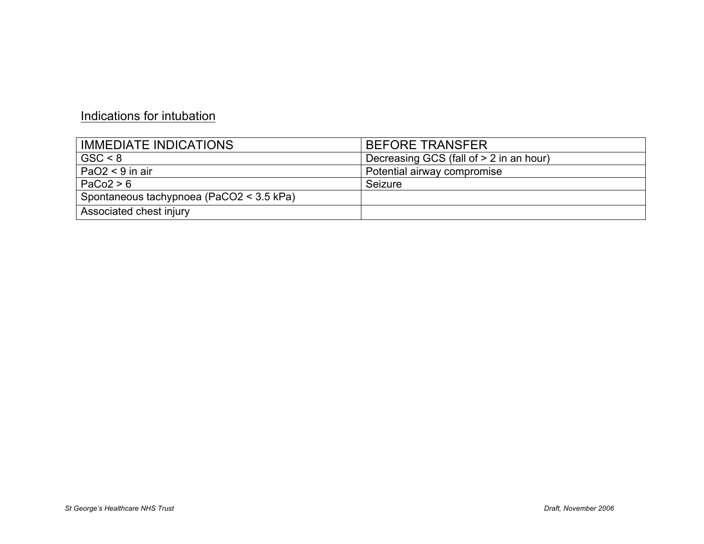## Indications for intubation

| <b>IMMEDIATE INDICATIONS</b>             | <b>BEFORE TRANSFER</b>                  |
|------------------------------------------|-----------------------------------------|
| GSC < 8                                  | Decreasing GCS (fall of > 2 in an hour) |
| $PaO2 < 9$ in air                        | Potential airway compromise             |
| PaCo2 > 6                                | Seizure                                 |
| Spontaneous tachypnoea (PaCO2 < 3.5 kPa) |                                         |
| Associated chest injury                  |                                         |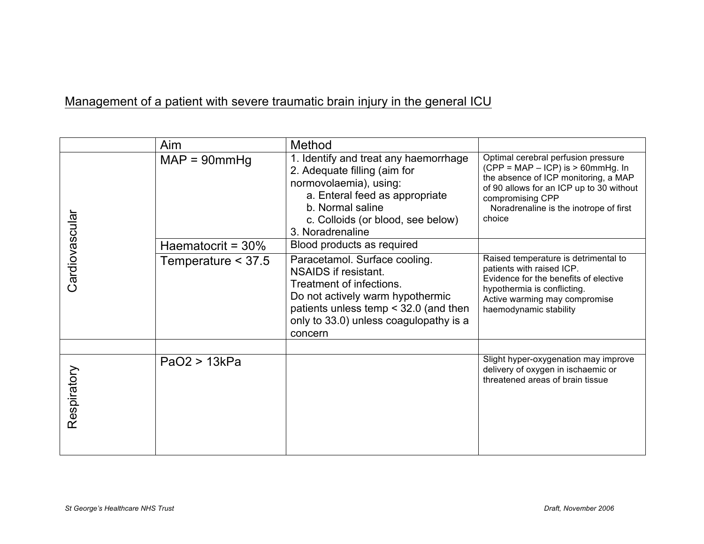## Management of a patient with severe traumatic brain injury in the general ICU

|                | Aim                  | Method                                                                                                                                                                                                                |                                                                                                                                                                                                                                           |
|----------------|----------------------|-----------------------------------------------------------------------------------------------------------------------------------------------------------------------------------------------------------------------|-------------------------------------------------------------------------------------------------------------------------------------------------------------------------------------------------------------------------------------------|
|                | $MAP = 90mmHg$       | 1. Identify and treat any haemorrhage<br>2. Adequate filling (aim for<br>normovolaemia), using:<br>a. Enteral feed as appropriate<br>b. Normal saline<br>c. Colloids (or blood, see below)<br>3. Noradrenaline        | Optimal cerebral perfusion pressure<br>$(CPP = MAP - ICP)$ is $> 60$ mmHg. In<br>the absence of ICP monitoring, a MAP<br>of 90 allows for an ICP up to 30 without<br>compromising CPP<br>Noradrenaline is the inotrope of first<br>choice |
|                | Haematocrit = $30\%$ | Blood products as required                                                                                                                                                                                            |                                                                                                                                                                                                                                           |
| Cardiovascular | Temperature < 37.5   | Paracetamol. Surface cooling.<br>NSAIDS if resistant.<br>Treatment of infections.<br>Do not actively warm hypothermic<br>patients unless temp $<$ 32.0 (and then<br>only to 33.0) unless coagulopathy is a<br>concern | Raised temperature is detrimental to<br>patients with raised ICP.<br>Evidence for the benefits of elective<br>hypothermia is conflicting.<br>Active warming may compromise<br>haemodynamic stability                                      |
|                |                      |                                                                                                                                                                                                                       |                                                                                                                                                                                                                                           |
| Respiratory    | PaO2 > 13kPa         |                                                                                                                                                                                                                       | Slight hyper-oxygenation may improve<br>delivery of oxygen in ischaemic or<br>threatened areas of brain tissue                                                                                                                            |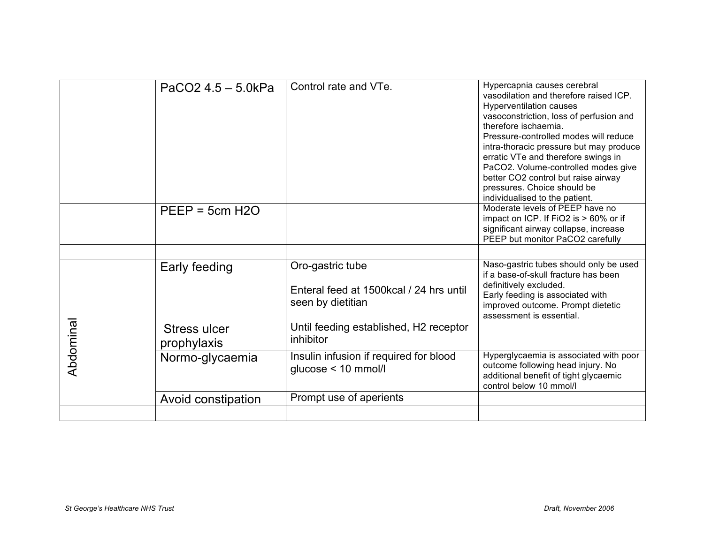|           | $PaCO2$ 4.5 – 5.0kPa        | Control rate and VTe.                                                             | Hypercapnia causes cerebral<br>vasodilation and therefore raised ICP.<br>Hyperventilation causes<br>vasoconstriction, loss of perfusion and<br>therefore ischaemia.<br>Pressure-controlled modes will reduce<br>intra-thoracic pressure but may produce<br>erratic VTe and therefore swings in<br>PaCO2. Volume-controlled modes give<br>better CO2 control but raise airway<br>pressures. Choice should be<br>individualised to the patient. |
|-----------|-----------------------------|-----------------------------------------------------------------------------------|-----------------------------------------------------------------------------------------------------------------------------------------------------------------------------------------------------------------------------------------------------------------------------------------------------------------------------------------------------------------------------------------------------------------------------------------------|
|           | $PEEP = 5cm H2O$            |                                                                                   | Moderate levels of PEEP have no<br>impact on ICP. If FiO2 is > 60% or if<br>significant airway collapse, increase<br>PEEP but monitor PaCO2 carefully                                                                                                                                                                                                                                                                                         |
|           |                             |                                                                                   |                                                                                                                                                                                                                                                                                                                                                                                                                                               |
|           | Early feeding               | Oro-gastric tube<br>Enteral feed at 1500 kcal / 24 hrs until<br>seen by dietitian | Naso-gastric tubes should only be used<br>if a base-of-skull fracture has been<br>definitively excluded.<br>Early feeding is associated with<br>improved outcome. Prompt dietetic<br>assessment is essential.                                                                                                                                                                                                                                 |
| Abdominal | Stress ulcer<br>prophylaxis | Until feeding established, H2 receptor<br>inhibitor                               |                                                                                                                                                                                                                                                                                                                                                                                                                                               |
|           | Normo-glycaemia             | Insulin infusion if required for blood<br>glucose < 10 mmol/l                     | Hyperglycaemia is associated with poor<br>outcome following head injury. No<br>additional benefit of tight glycaemic<br>control below 10 mmol/l                                                                                                                                                                                                                                                                                               |
|           | Avoid constipation          | Prompt use of aperients                                                           |                                                                                                                                                                                                                                                                                                                                                                                                                                               |
|           |                             |                                                                                   |                                                                                                                                                                                                                                                                                                                                                                                                                                               |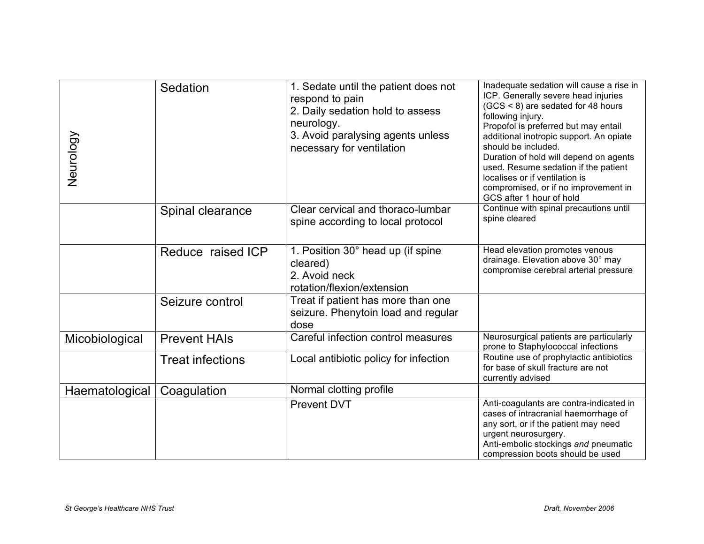| Neurology                        | Sedation                | 1. Sedate until the patient does not<br>respond to pain<br>2. Daily sedation hold to assess<br>neurology.<br>3. Avoid paralysing agents unless<br>necessary for ventilation | Inadequate sedation will cause a rise in<br>ICP. Generally severe head injuries<br>(GCS < 8) are sedated for 48 hours<br>following injury.<br>Propofol is preferred but may entail<br>additional inotropic support. An opiate<br>should be included.<br>Duration of hold will depend on agents<br>used. Resume sedation if the patient<br>localises or if ventilation is<br>compromised, or if no improvement in<br>GCS after 1 hour of hold |
|----------------------------------|-------------------------|-----------------------------------------------------------------------------------------------------------------------------------------------------------------------------|----------------------------------------------------------------------------------------------------------------------------------------------------------------------------------------------------------------------------------------------------------------------------------------------------------------------------------------------------------------------------------------------------------------------------------------------|
|                                  | Spinal clearance        | Clear cervical and thoraco-lumbar<br>spine according to local protocol                                                                                                      | Continue with spinal precautions until<br>spine cleared                                                                                                                                                                                                                                                                                                                                                                                      |
|                                  | Reduce raised ICP       | 1. Position 30° head up (if spine<br>cleared)<br>2. Avoid neck<br>rotation/flexion/extension                                                                                | Head elevation promotes venous<br>drainage. Elevation above 30° may<br>compromise cerebral arterial pressure                                                                                                                                                                                                                                                                                                                                 |
|                                  | Seizure control         | Treat if patient has more than one<br>seizure. Phenytoin load and regular<br>dose                                                                                           |                                                                                                                                                                                                                                                                                                                                                                                                                                              |
| Micobiological                   | <b>Prevent HAIs</b>     | Careful infection control measures                                                                                                                                          | Neurosurgical patients are particularly<br>prone to Staphylococcal infections                                                                                                                                                                                                                                                                                                                                                                |
|                                  | <b>Treat infections</b> | Local antibiotic policy for infection                                                                                                                                       | Routine use of prophylactic antibiotics<br>for base of skull fracture are not<br>currently advised                                                                                                                                                                                                                                                                                                                                           |
| Haematological                   | Coagulation             | Normal clotting profile                                                                                                                                                     |                                                                                                                                                                                                                                                                                                                                                                                                                                              |
|                                  |                         | <b>Prevent DVT</b>                                                                                                                                                          | Anti-coagulants are contra-indicated in<br>cases of intracranial haemorrhage of<br>any sort, or if the patient may need<br>urgent neurosurgery.<br>Anti-embolic stockings and pneumatic<br>compression boots should be used                                                                                                                                                                                                                  |
| St George's Healthcare NHS Trust |                         |                                                                                                                                                                             | Draft, November 2006                                                                                                                                                                                                                                                                                                                                                                                                                         |